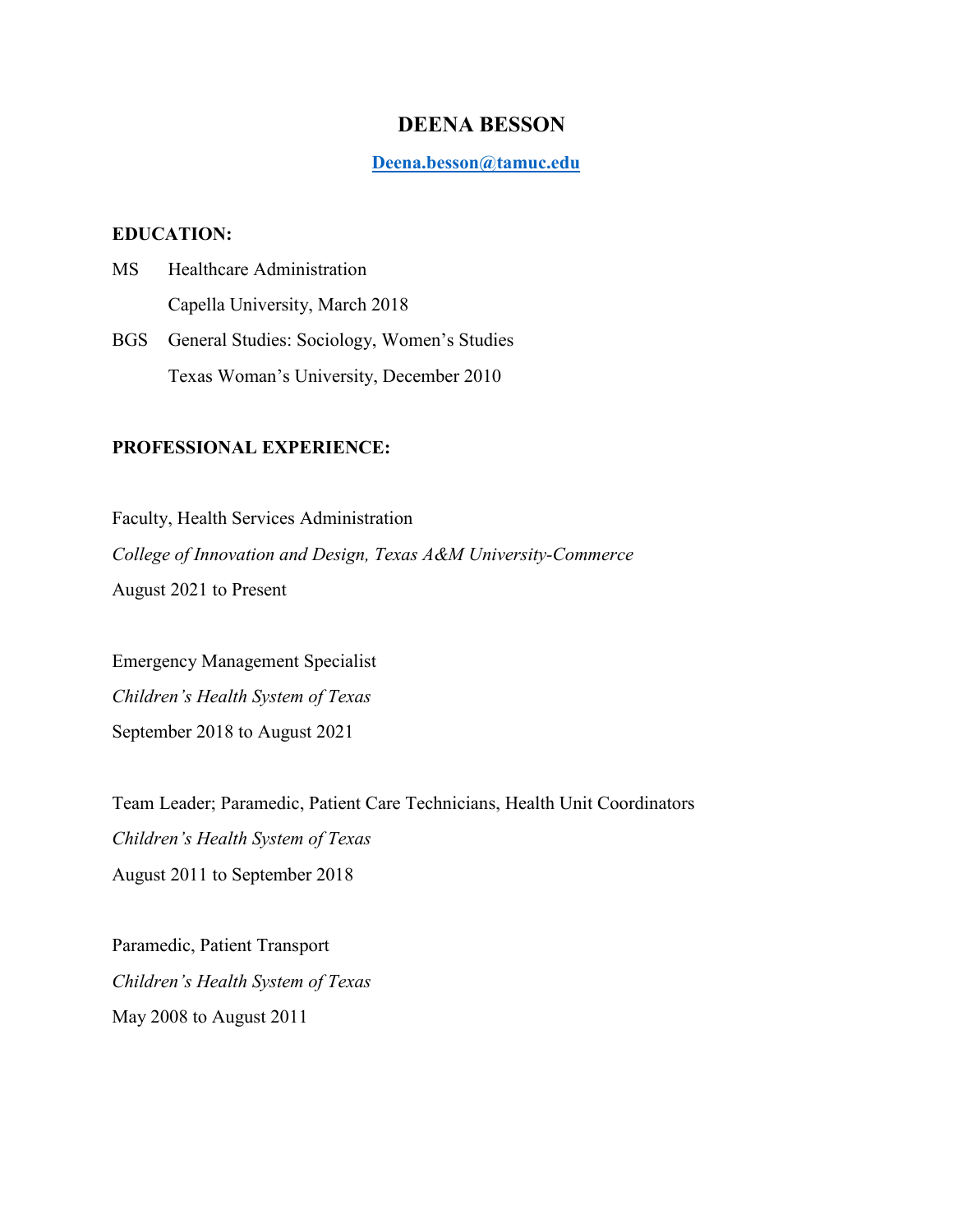# **DEENA BESSON**

**[Deena.besson@tamuc.edu](mailto:Deena.besson@tamuc.edu)**

### **EDUCATION:**

MS Healthcare Administration Capella University, March 2018 BGS General Studies: Sociology, Women's Studies Texas Woman's University, December 2010

# **PROFESSIONAL EXPERIENCE:**

Faculty, Health Services Administration *College of Innovation and Design, Texas A&M University-Commerce* August 2021 to Present

Emergency Management Specialist *Children's Health System of Texas* September 2018 to August 2021

Team Leader; Paramedic, Patient Care Technicians, Health Unit Coordinators *Children's Health System of Texas* August 2011 to September 2018

Paramedic, Patient Transport *Children's Health System of Texas* May 2008 to August 2011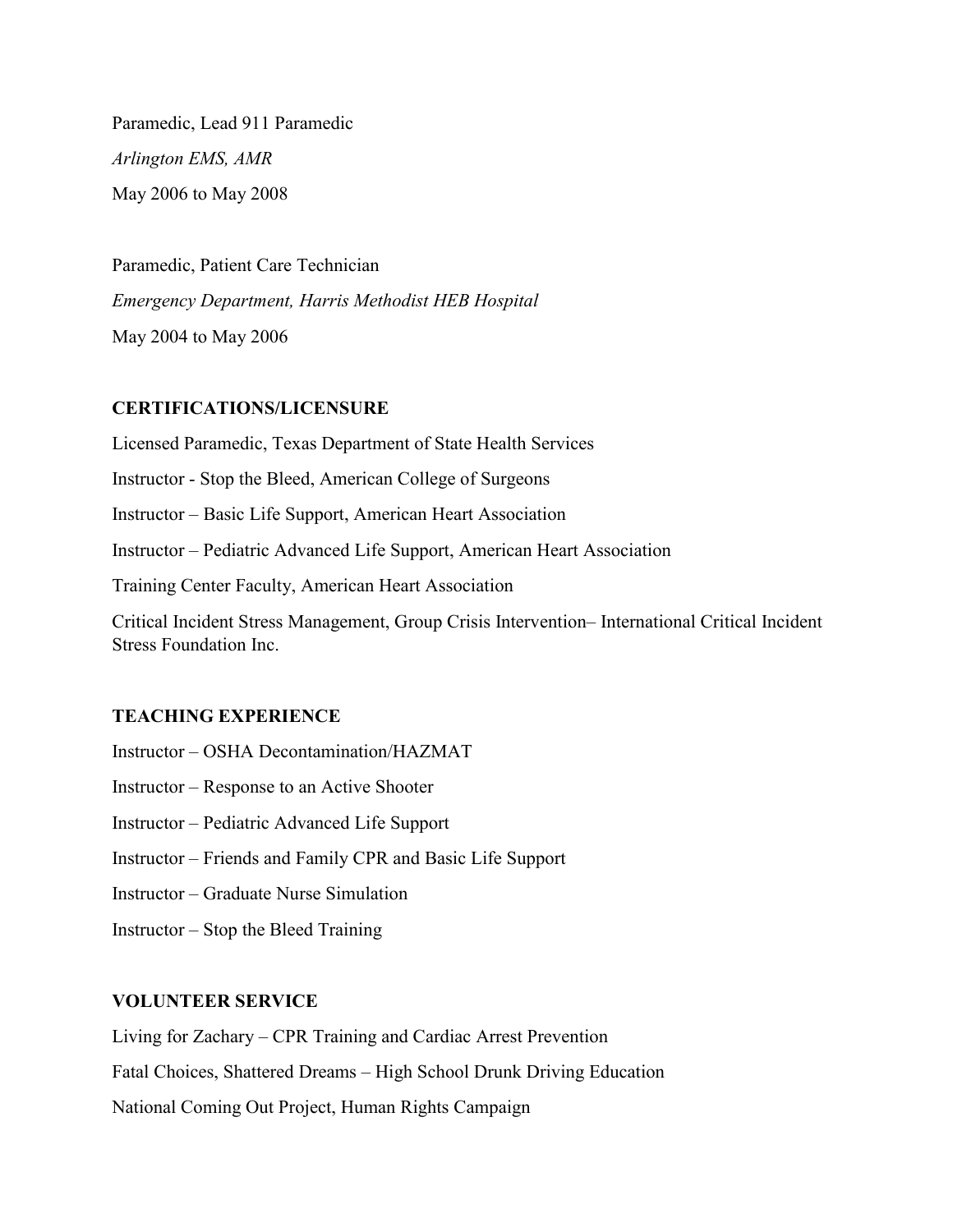Paramedic, Lead 911 Paramedic *Arlington EMS, AMR* May 2006 to May 2008

Paramedic, Patient Care Technician *Emergency Department, Harris Methodist HEB Hospital*  May 2004 to May 2006

#### **CERTIFICATIONS/LICENSURE**

Licensed Paramedic, Texas Department of State Health Services Instructor - Stop the Bleed, American College of Surgeons Instructor – Basic Life Support, American Heart Association Instructor – Pediatric Advanced Life Support, American Heart Association Training Center Faculty, American Heart Association Critical Incident Stress Management, Group Crisis Intervention– International Critical Incident Stress Foundation Inc.

#### **TEACHING EXPERIENCE**

- Instructor OSHA Decontamination/HAZMAT
- Instructor Response to an Active Shooter
- Instructor Pediatric Advanced Life Support
- Instructor Friends and Family CPR and Basic Life Support
- Instructor Graduate Nurse Simulation
- Instructor Stop the Bleed Training

## **VOLUNTEER SERVICE**

Living for Zachary – CPR Training and Cardiac Arrest Prevention

Fatal Choices, Shattered Dreams – High School Drunk Driving Education

National Coming Out Project, Human Rights Campaign